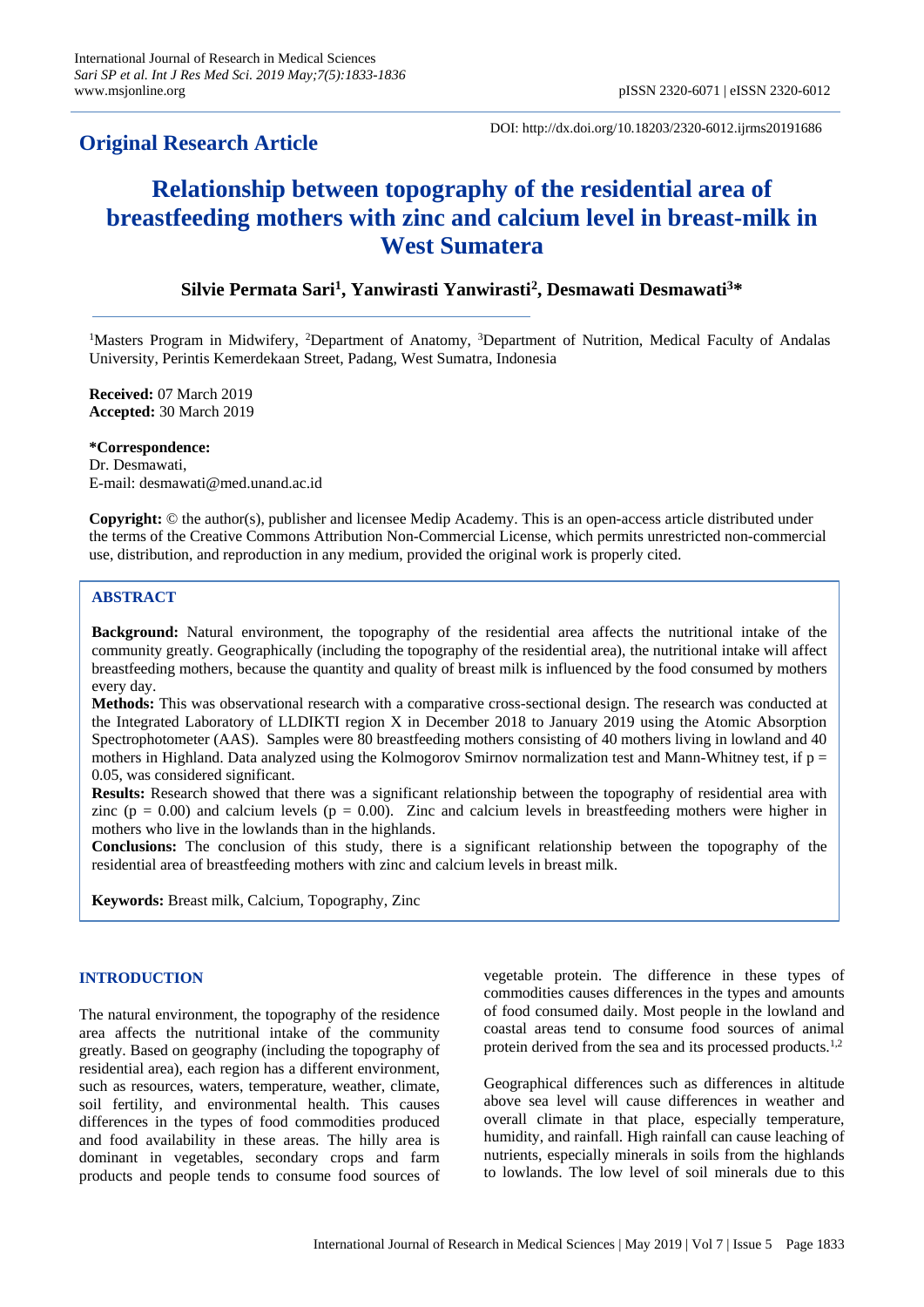## **Original Research Article**

DOI: http://dx.doi.org/10.18203/2320-6012.ijrms20191686

# **Relationship between topography of the residential area of breastfeeding mothers with zinc and calcium level in breast-milk in West Sumatera**

### **Silvie Permata Sari<sup>1</sup> , Yanwirasti Yanwirasti<sup>2</sup> , Desmawati Desmawati<sup>3</sup>\***

<sup>1</sup>Masters Program in Midwifery, <sup>2</sup>Department of Anatomy, <sup>3</sup>Department of Nutrition, Medical Faculty of Andalas University, Perintis Kemerdekaan Street, Padang, West Sumatra, Indonesia

**Received:** 07 March 2019 **Accepted:** 30 March 2019

#### **\*Correspondence:**

Dr. Desmawati, E-mail: desmawati@med.unand.ac.id

**Copyright:** © the author(s), publisher and licensee Medip Academy. This is an open-access article distributed under the terms of the Creative Commons Attribution Non-Commercial License, which permits unrestricted non-commercial use, distribution, and reproduction in any medium, provided the original work is properly cited.

#### **ABSTRACT**

**Background:** Natural environment, the topography of the residential area affects the nutritional intake of the community greatly. Geographically (including the topography of the residential area), the nutritional intake will affect breastfeeding mothers, because the quantity and quality of breast milk is influenced by the food consumed by mothers every day.

**Methods:** This was observational research with a comparative cross-sectional design. The research was conducted at the Integrated Laboratory of LLDIKTI region X in December 2018 to January 2019 using the Atomic Absorption Spectrophotometer (AAS). Samples were 80 breastfeeding mothers consisting of 40 mothers living in lowland and 40 mothers in Highland. Data analyzed using the Kolmogorov Smirnov normalization test and Mann-Whitney test, if  $p =$ 0.05, was considered significant.

**Results:** Research showed that there was a significant relationship between the topography of residential area with zinc ( $p = 0.00$ ) and calcium levels ( $p = 0.00$ ). Zinc and calcium levels in breastfeeding mothers were higher in mothers who live in the lowlands than in the highlands.

**Conclusions:** The conclusion of this study, there is a significant relationship between the topography of the residential area of breastfeeding mothers with zinc and calcium levels in breast milk.

**Keywords:** Breast milk, Calcium, Topography, Zinc

#### **INTRODUCTION**

The natural environment, the topography of the residence area affects the nutritional intake of the community greatly. Based on geography (including the topography of residential area), each region has a different environment, such as resources, waters, temperature, weather, climate, soil fertility, and environmental health. This causes differences in the types of food commodities produced and food availability in these areas. The hilly area is dominant in vegetables, secondary crops and farm products and people tends to consume food sources of vegetable protein. The difference in these types of commodities causes differences in the types and amounts of food consumed daily. Most people in the lowland and coastal areas tend to consume food sources of animal protein derived from the sea and its processed products.1,2

Geographical differences such as differences in altitude above sea level will cause differences in weather and overall climate in that place, especially temperature, humidity, and rainfall. High rainfall can cause leaching of nutrients, especially minerals in soils from the highlands to lowlands. The low level of soil minerals due to this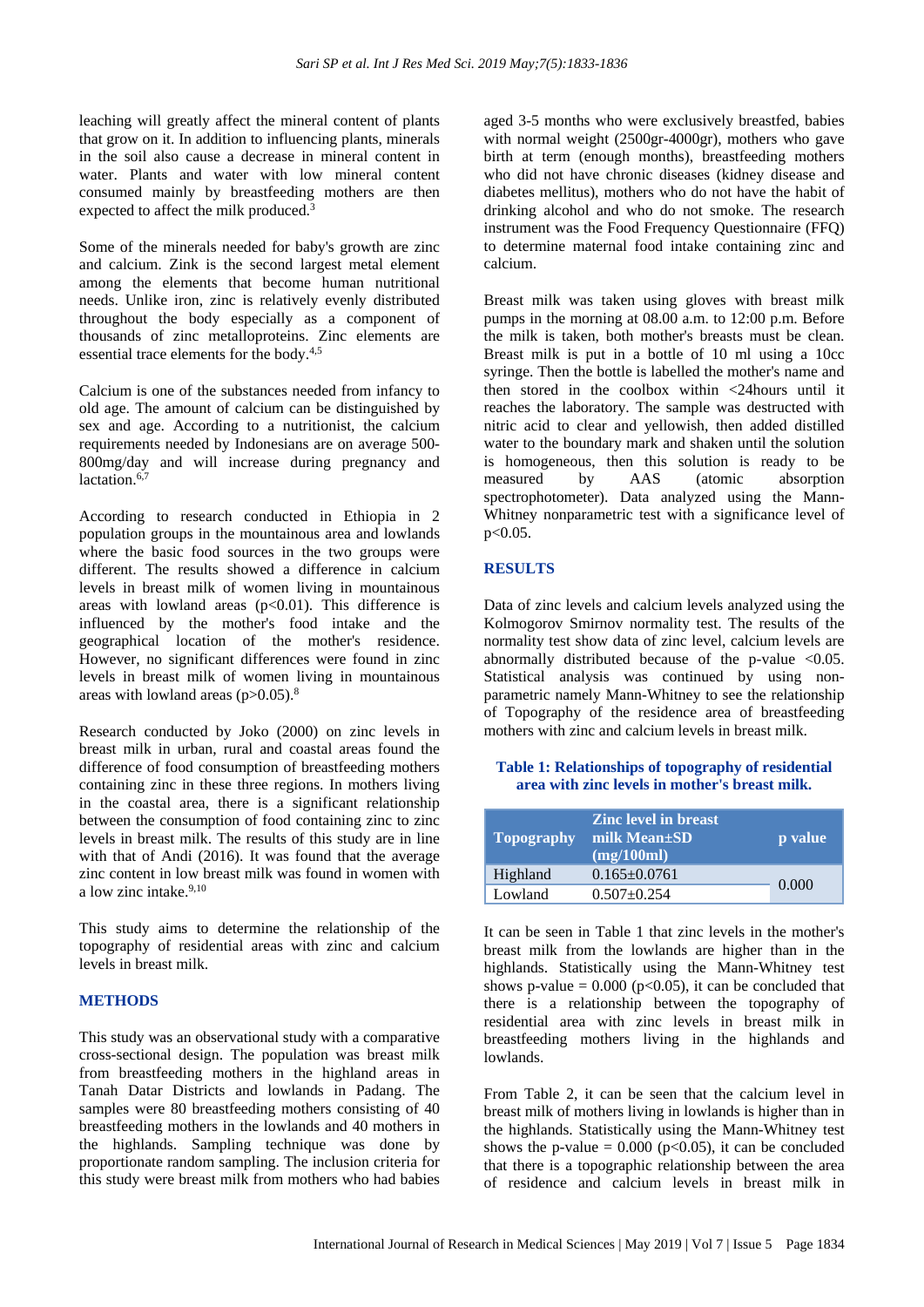leaching will greatly affect the mineral content of plants that grow on it. In addition to influencing plants, minerals in the soil also cause a decrease in mineral content in water. Plants and water with low mineral content consumed mainly by breastfeeding mothers are then expected to affect the milk produced.<sup>3</sup>

Some of the minerals needed for baby's growth are zinc and calcium. Zink is the second largest metal element among the elements that become human nutritional needs. Unlike iron, zinc is relatively evenly distributed throughout the body especially as a component of thousands of zinc metalloproteins. Zinc elements are essential trace elements for the body.<sup>4,5</sup>

Calcium is one of the substances needed from infancy to old age. The amount of calcium can be distinguished by sex and age. According to a nutritionist, the calcium requirements needed by Indonesians are on average 500- 800mg/day and will increase during pregnancy and lactation.<sup>6,7</sup>

According to research conducted in Ethiopia in 2 population groups in the mountainous area and lowlands where the basic food sources in the two groups were different. The results showed a difference in calcium levels in breast milk of women living in mountainous areas with lowland areas  $(p<0.01)$ . This difference is influenced by the mother's food intake and the geographical location of the mother's residence. However, no significant differences were found in zinc levels in breast milk of women living in mountainous areas with lowland areas  $(p>0.05)$ .<sup>8</sup>

Research conducted by Joko (2000) on zinc levels in breast milk in urban, rural and coastal areas found the difference of food consumption of breastfeeding mothers containing zinc in these three regions. In mothers living in the coastal area, there is a significant relationship between the consumption of food containing zinc to zinc levels in breast milk. The results of this study are in line with that of Andi (2016). It was found that the average zinc content in low breast milk was found in women with a low zinc intake.<sup>9,10</sup>

This study aims to determine the relationship of the topography of residential areas with zinc and calcium levels in breast milk.

#### **METHODS**

This study was an observational study with a comparative cross-sectional design. The population was breast milk from breastfeeding mothers in the highland areas in Tanah Datar Districts and lowlands in Padang. The samples were 80 breastfeeding mothers consisting of 40 breastfeeding mothers in the lowlands and 40 mothers in the highlands. Sampling technique was done by proportionate random sampling. The inclusion criteria for this study were breast milk from mothers who had babies aged 3-5 months who were exclusively breastfed, babies with normal weight (2500gr-4000gr), mothers who gave birth at term (enough months), breastfeeding mothers who did not have chronic diseases (kidney disease and diabetes mellitus), mothers who do not have the habit of drinking alcohol and who do not smoke. The research instrument was the Food Frequency Questionnaire (FFQ) to determine maternal food intake containing zinc and calcium.

Breast milk was taken using gloves with breast milk pumps in the morning at 08.00 a.m. to 12:00 p.m. Before the milk is taken, both mother's breasts must be clean. Breast milk is put in a bottle of 10 ml using a 10cc syringe. Then the bottle is labelled the mother's name and then stored in the coolbox within <24hours until it reaches the laboratory. The sample was destructed with nitric acid to clear and yellowish, then added distilled water to the boundary mark and shaken until the solution is homogeneous, then this solution is ready to be measured by AAS (atomic absorption spectrophotometer). Data analyzed using the Mann-Whitney nonparametric test with a significance level of p<0.05.

#### **RESULTS**

Data of zinc levels and calcium levels analyzed using the Kolmogorov Smirnov normality test. The results of the normality test show data of zinc level, calcium levels are abnormally distributed because of the p-value  $\langle 0.05$ . Statistical analysis was continued by using nonparametric namely Mann-Whitney to see the relationship of Topography of the residence area of breastfeeding mothers with zinc and calcium levels in breast milk.

#### **Table 1: Relationships of topography of residential area with zinc levels in mother's breast milk.**

| <b>Topography</b> | <b>Zinc level in breast</b><br>milk Mean±SD<br>(mg/100ml) | p value |
|-------------------|-----------------------------------------------------------|---------|
| Highland          | $0.165 \pm 0.0761$                                        |         |
| Lowland           | $0.507+0.254$                                             | 0.000   |

It can be seen in Table 1 that zinc levels in the mother's breast milk from the lowlands are higher than in the highlands. Statistically using the Mann-Whitney test shows p-value =  $0.000$  (p<0.05), it can be concluded that there is a relationship between the topography of residential area with zinc levels in breast milk in breastfeeding mothers living in the highlands and lowlands.

From Table 2, it can be seen that the calcium level in breast milk of mothers living in lowlands is higher than in the highlands. Statistically using the Mann-Whitney test shows the p-value =  $0.000$  (p<0.05), it can be concluded that there is a topographic relationship between the area of residence and calcium levels in breast milk in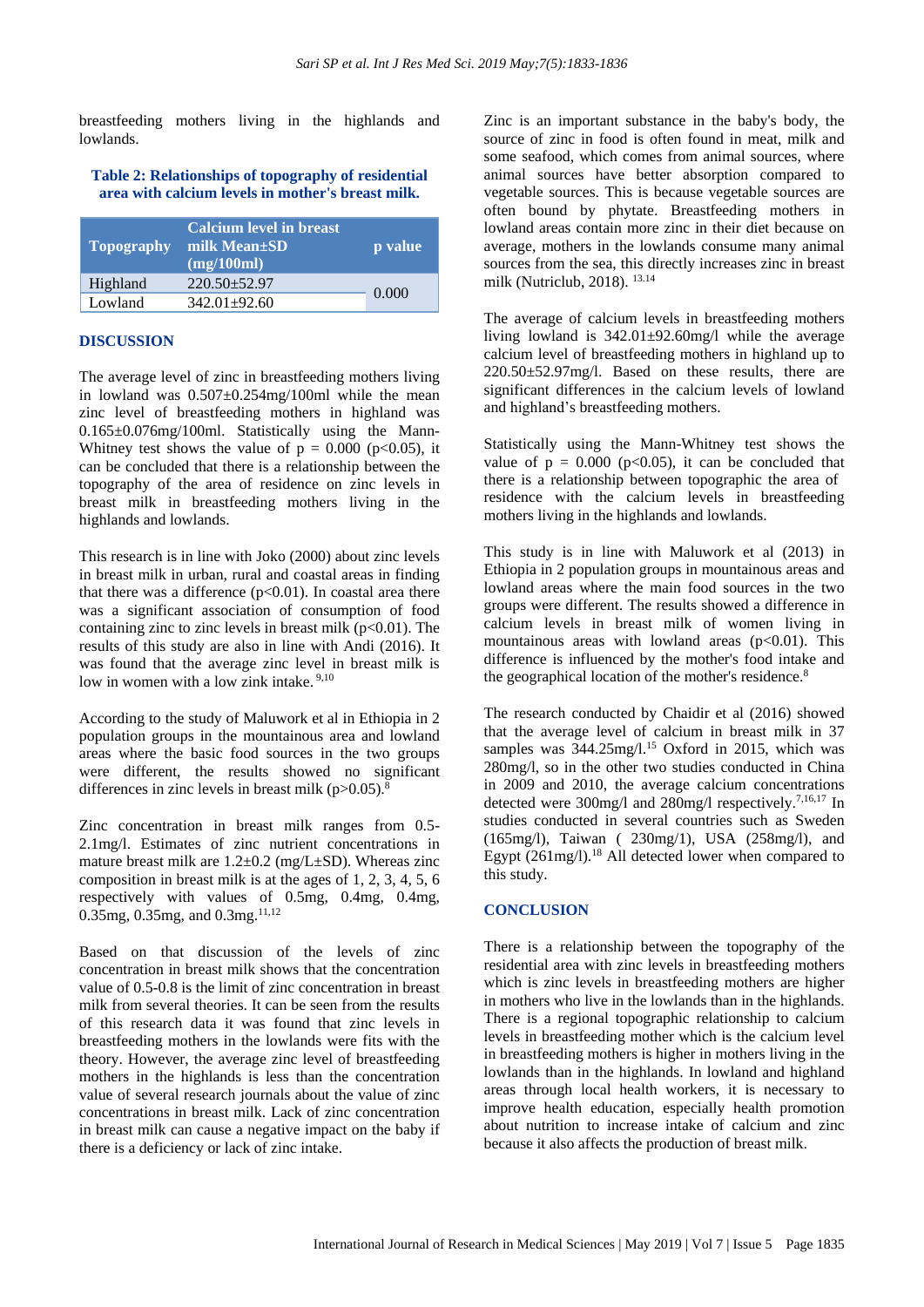breastfeeding mothers living in the highlands and lowlands.

#### **Table 2: Relationships of topography of residential area with calcium levels in mother's breast milk.**

| <b>Topography</b> | <b>Calcium level in breast</b><br>milk Mean±SD<br>$(mg/100ml)^{3}$ | p value |
|-------------------|--------------------------------------------------------------------|---------|
| Highland          | $220.50 + 52.97$                                                   |         |
| Lowland           | $342.01 + 92.60$                                                   | 0.000   |

#### **DISCUSSION**

The average level of zinc in breastfeeding mothers living in lowland was  $0.507 \pm 0.254$  mg/100ml while the mean zinc level of breastfeeding mothers in highland was 0.165±0.076mg/100ml. Statistically using the Mann-Whitney test shows the value of  $p = 0.000$  ( $p < 0.05$ ), it can be concluded that there is a relationship between the topography of the area of residence on zinc levels in breast milk in breastfeeding mothers living in the highlands and lowlands.

This research is in line with Joko (2000) about zinc levels in breast milk in urban, rural and coastal areas in finding that there was a difference  $(p<0.01)$ . In coastal area there was a significant association of consumption of food containing zinc to zinc levels in breast milk  $(p<0.01)$ . The results of this study are also in line with Andi (2016). It was found that the average zinc level in breast milk is low in women with a low zink intake.<sup>9,10</sup>

According to the study of Maluwork et al in Ethiopia in 2 population groups in the mountainous area and lowland areas where the basic food sources in the two groups were different, the results showed no significant differences in zinc levels in breast milk  $(p>0.05)$ .<sup>8</sup>

Zinc concentration in breast milk ranges from 0.5- 2.1mg/l. Estimates of zinc nutrient concentrations in mature breast milk are  $1.2 \pm 0.2$  (mg/L $\pm$ SD). Whereas zinc composition in breast milk is at the ages of 1, 2, 3, 4, 5, 6 respectively with values of 0.5mg, 0.4mg, 0.4mg, 0.35mg, 0.35mg, and 0.3mg.<sup>11,12</sup>

Based on that discussion of the levels of zinc concentration in breast milk shows that the concentration value of 0.5-0.8 is the limit of zinc concentration in breast milk from several theories. It can be seen from the results of this research data it was found that zinc levels in breastfeeding mothers in the lowlands were fits with the theory. However, the average zinc level of breastfeeding mothers in the highlands is less than the concentration value of several research journals about the value of zinc concentrations in breast milk. Lack of zinc concentration in breast milk can cause a negative impact on the baby if there is a deficiency or lack of zinc intake.

Zinc is an important substance in the baby's body, the source of zinc in food is often found in meat, milk and some seafood, which comes from animal sources, where animal sources have better absorption compared to vegetable sources. This is because vegetable sources are often bound by phytate. Breastfeeding mothers in lowland areas contain more zinc in their diet because on average, mothers in the lowlands consume many animal sources from the sea, this directly increases zinc in breast milk (Nutriclub, 2018). 13.14

The average of calcium levels in breastfeeding mothers living lowland is 342.01±92.60mg/l while the average calcium level of breastfeeding mothers in highland up to 220.50±52.97mg/l. Based on these results, there are significant differences in the calcium levels of lowland and highland's breastfeeding mothers.

Statistically using the Mann-Whitney test shows the value of  $p = 0.000$  ( $p < 0.05$ ), it can be concluded that there is a relationship between topographic the area of residence with the calcium levels in breastfeeding mothers living in the highlands and lowlands.

This study is in line with Maluwork et al (2013) in Ethiopia in 2 population groups in mountainous areas and lowland areas where the main food sources in the two groups were different. The results showed a difference in calcium levels in breast milk of women living in mountainous areas with lowland areas  $(p<0.01)$ . This difference is influenced by the mother's food intake and the geographical location of the mother's residence.<sup>8</sup>

The research conducted by Chaidir et al (2016) showed that the average level of calcium in breast milk in 37 samples was  $344.25$ mg/l.<sup>15</sup> Oxford in 2015, which was 280mg/l, so in the other two studies conducted in China in 2009 and 2010, the average calcium concentrations detected were 300mg/l and 280mg/l respectively.7,16,17 In studies conducted in several countries such as Sweden (165mg/l), Taiwan ( 230mg/1), USA (258mg/l), and Egypt (261mg/l).<sup>18</sup> All detected lower when compared to this study.

#### **CONCLUSION**

There is a relationship between the topography of the residential area with zinc levels in breastfeeding mothers which is zinc levels in breastfeeding mothers are higher in mothers who live in the lowlands than in the highlands. There is a regional topographic relationship to calcium levels in breastfeeding mother which is the calcium level in breastfeeding mothers is higher in mothers living in the lowlands than in the highlands. In lowland and highland areas through local health workers, it is necessary to improve health education, especially health promotion about nutrition to increase intake of calcium and zinc because it also affects the production of breast milk.